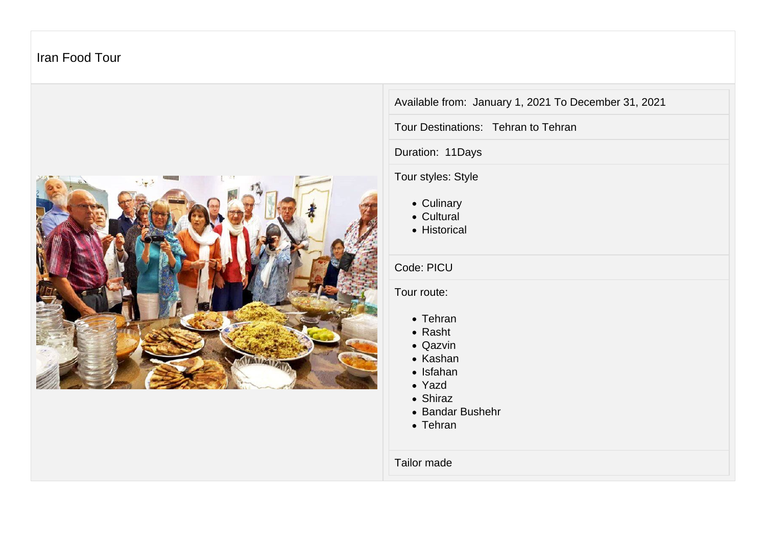#### Iran Food Tour



| Available from: January 1, 2021 To December 31, 2021                                                                                                                |
|---------------------------------------------------------------------------------------------------------------------------------------------------------------------|
| Tour Destinations: Tehran to Tehran                                                                                                                                 |
| Duration: 11Days                                                                                                                                                    |
| Tour styles: Style<br>• Culinary<br>• Cultural<br>• Historical                                                                                                      |
| Code: PICU                                                                                                                                                          |
| Tour route:<br>$\bullet$ Tehran<br>$\bullet$ Rasht<br>Qazvin<br>$\bullet$<br>• Kashan<br>Isfahan<br>$\bullet$<br>• Yazd<br>• Shiraz<br>• Bandar Bushehr<br>• Tehran |
| Tailor made                                                                                                                                                         |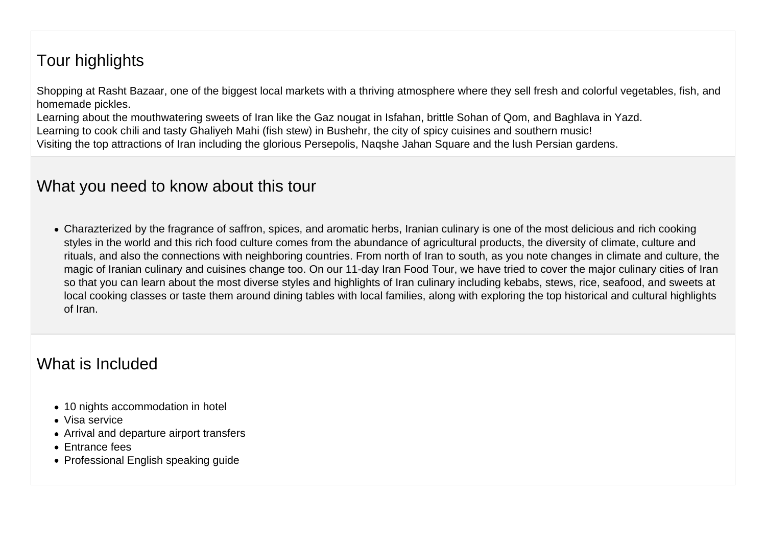# Tour highlights

Shopping at Rasht Bazaar, one of the biggest local markets with a thriving atmosphere where they sell fresh and colorful vegetables, fish, and homemade pickles.

Learning about the mouthwatering sweets of Iran like the Gaz nougat in Isfahan, brittle Sohan of Qom, and Baghlava in Yazd. Learning to cook chili and tasty Ghaliyeh Mahi (fish stew) in Bushehr, the city of spicy cuisines and southern music! Visiting the top attractions of Iran including the glorious Persepolis, Naqshe Jahan Square and the lush Persian gardens.

#### What you need to know about this tour

Charazterized by the fragrance of saffron, spices, and aromatic herbs, Iranian culinary is one of the most delicious and rich cooking styles in the world and this rich food culture comes from the abundance of agricultural products, the diversity of climate, culture and rituals, and also the connections with neighboring countries. From north of Iran to south, as you note changes in climate and culture, the magic of Iranian culinary and cuisines change too. On our 11-day Iran Food Tour, we have tried to cover the major culinary cities of Iran so that you can learn about the most diverse styles and highlights of Iran culinary including kebabs, stews, rice, seafood, and sweets at local cooking classes or taste them around dining tables with local families, along with exploring the top historical and cultural highlights of Iran.

### What is Included

- 10 nights accommodation in hotel
- Visa service
- Arrival and departure airport transfers
- **•** Entrance fees
- Professional English speaking guide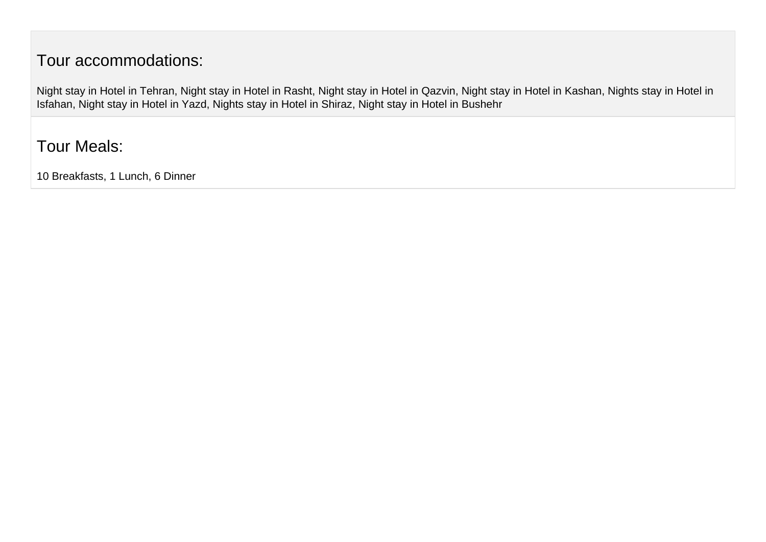## Tour accommodations:

Night stay in Hotel in Tehran, Night stay in Hotel in Rasht, Night stay in Hotel in Qazvin, Night stay in Hotel in Kashan, Nights stay in Hotel in Isfahan, Night stay in Hotel in Yazd, Nights stay in Hotel in Shiraz, Night stay in Hotel in Bushehr

Tour Meals:

10 Breakfasts, 1 Lunch, 6 Dinner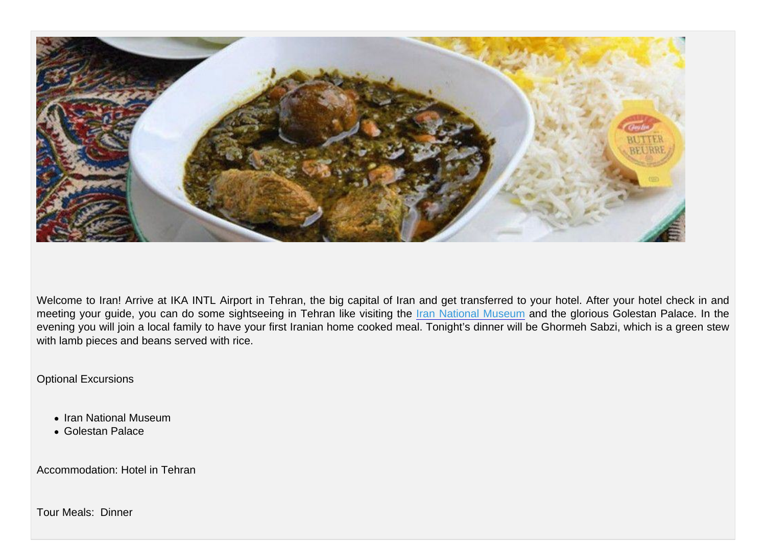Day 1: Arrival Day

Welcome to Iran! Arrive at IKA INTL Airport in Tehran, the big capital of Iran and get transferred to your hotel. After your hotel check in and meeting your guide, you can do some sightseeing in Tehran like visiting the [Iran National Museum](https://www.packtoiran.com/blogs/detail/117/Exploring-the-history-of-Iran-at-the-National-Museum-of-Iran) and the glorious Golestan Palace. In the evening you will join a local family to have your first Iranian home cooked meal. Tonight's dinner will be Ghormeh Sabzi, which is a green stew with lamb pieces and beans served with rice.

Optional Excursions

- Iran National Museum
- Golestan Palace

Accommodation: Hotel in Tehran

Tour Meals: Dinner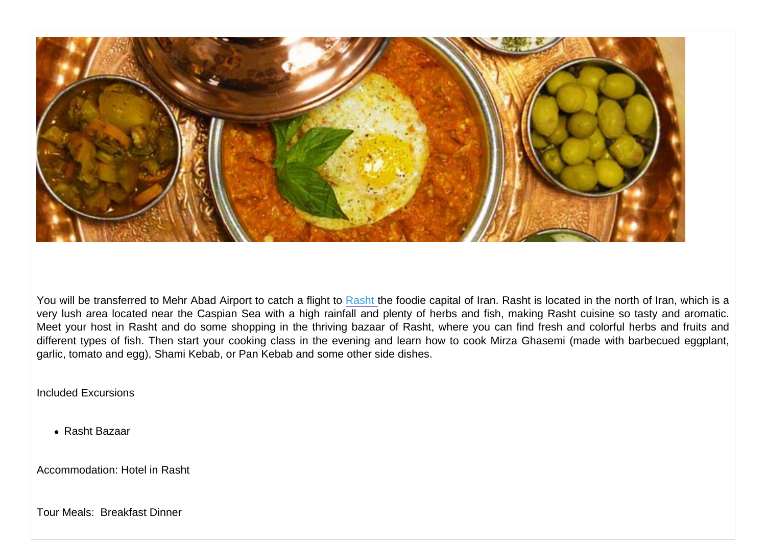#### Day 2: Aromatic cuisine of Rasht

You will be transferred to Mehr Abad Airport to catch a flight to [Rasht](https://www.packtoiran.com/tours/?city=39/Rasht) the foodie capital of Iran. Rasht is located in the north of Iran, which is a very lush area located near the Caspian Sea with a high rainfall and plenty of herbs and fish, making Rasht cuisine so tasty and aromatic. Meet your host in Rasht and do some shopping in the thriving bazaar of Rasht, where you can find fresh and colorful herbs and fruits and different types of fish. Then start your cooking class in the evening and learn how to cook Mirza Ghasemi (made with barbecued eggplant, garlic, tomato and egg), Shami Kebab, or Pan Kebab and some other side dishes.

Included Excursions

Rasht Bazaar

Accommodation: Hotel in Rasht

Tour Meals: Breakfast Dinner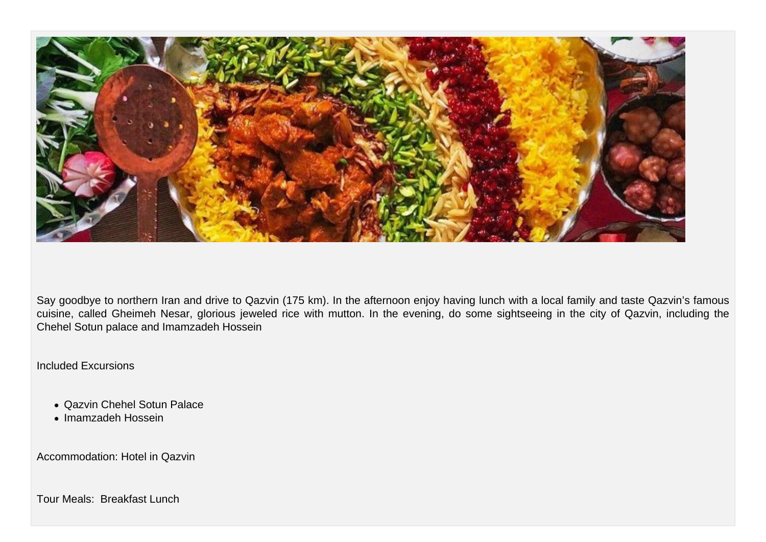

Say goodbye to northern Iran and drive to Qazvin (175 km). In the afternoon enjoy having lunch with a local family and taste Qazvin's famous cuisine, called Gheimeh Nesar, glorious jeweled rice with mutton. In the evening, do some sightseeing in the city of Qazvin, including the Chehel Sotun palace and Imamzadeh Hossein

Included Excursions

- Qazvin Chehel Sotun Palace
- Imamzadeh Hossein

Accommodation: Hotel in Qazvin

Tour Meals: Breakfast Lunch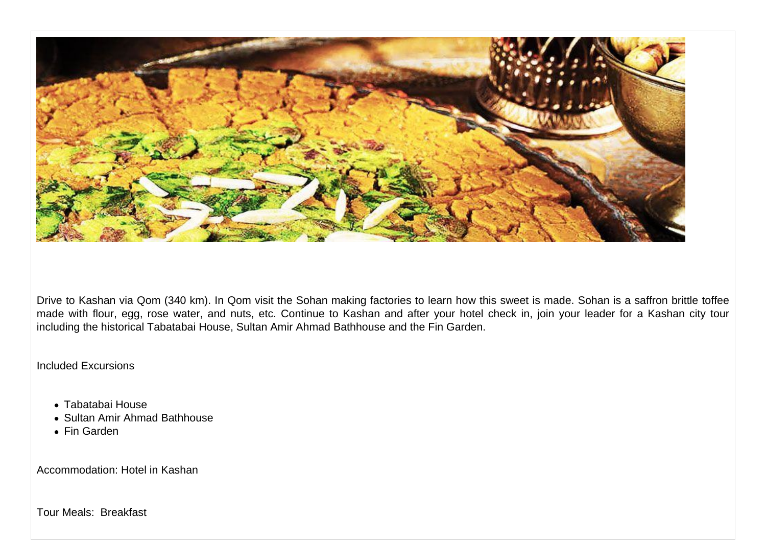

Drive to Kashan via Qom (340 km). In Qom visit the Sohan making factories to learn how this sweet is made. Sohan is a saffron brittle toffee made with flour, egg, rose water, and nuts, etc. Continue to Kashan and after your hotel check in, join your leader for a Kashan city tour including the historical Tabatabai House, Sultan Amir Ahmad Bathhouse and the Fin Garden.

Included Excursions

- Tabatabai House
- Sultan Amir Ahmad Bathhouse
- Fin Garden

Accommodation: Hotel in Kashan

Tour Meals: Breakfast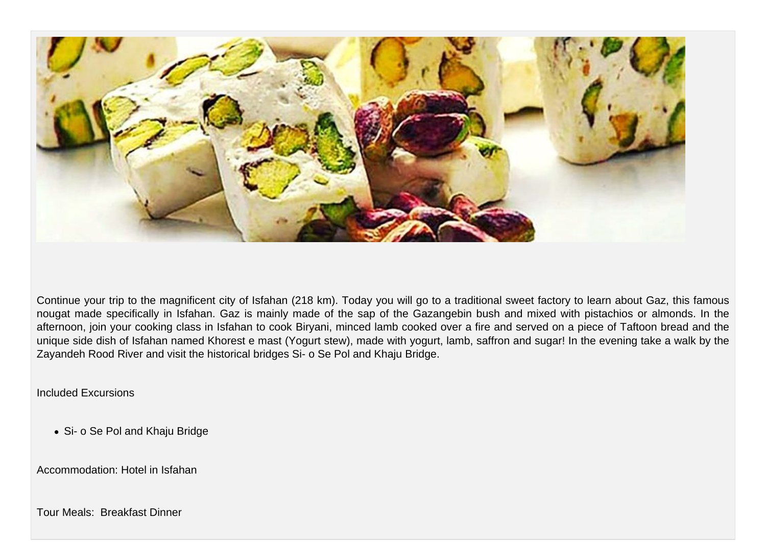

Continue your trip to the magnificent city of Isfahan (218 km). Today you will go to a traditional sweet factory to learn about Gaz, this famous nougat made specifically in Isfahan. Gaz is mainly made of the sap of the Gazangebin bush and mixed with pistachios or almonds. In the afternoon, join your cooking class in Isfahan to cook Biryani, minced lamb cooked over a fire and served on a piece of Taftoon bread and the unique side dish of Isfahan named Khorest e mast (Yogurt stew), made with yogurt, lamb, saffron and sugar! In the evening take a walk by the Zayandeh Rood River and visit the historical bridges Si- o Se Pol and Khaju Bridge.

Included Excursions

• Si- o Se Pol and Khaju Bridge

Accommodation: Hotel in Isfahan

Tour Meals: Breakfast Dinner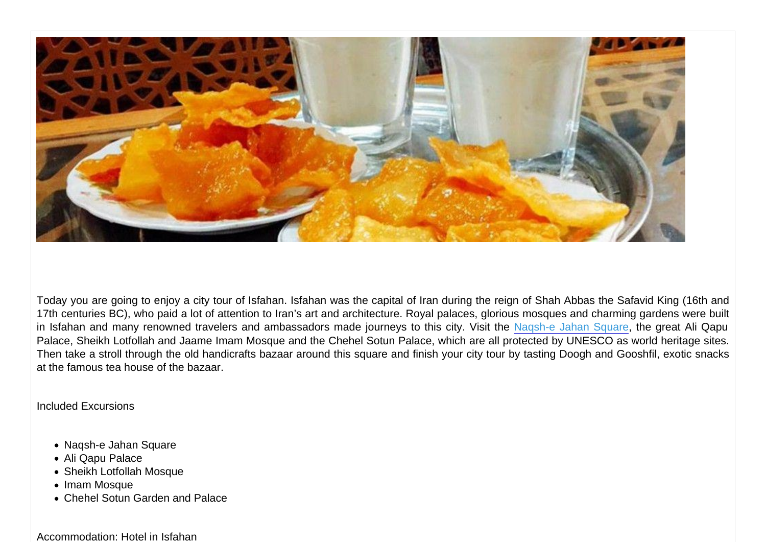Day 6: Isfahan city tour

Today you are going to enjoy a city tour of Isfahan. Isfahan was the capital of Iran during the reign of Shah Abbas the Safavid King (16th and 17th centuries BC), who paid a lot of attention to Iran's art and architecture. Royal palaces, glorious mosques and charming gardens were built in Isfahan and many renowned travelers and ambassadors made journeys to this city. Visit the [Naqsh-e Jahan Square](https://www.packtoiran.com/blogs/detail/111/Naqshe-Jahan-Square-one-of-the-most-scenic-historical-squares-of-world), the great Ali Qapu Palace, Sheikh Lotfollah and Jaame Imam Mosque and the Chehel Sotun Palace, which are all protected by UNESCO as world heritage sites. Then take a stroll through the old handicrafts bazaar around this square and finish your city tour by tasting Doogh and Gooshfil, exotic snacks at the famous tea house of the bazaar.

Included Excursions

- Naqsh-e Jahan Square
- Ali Qapu Palace
- Sheikh Lotfollah Mosque
- Imam Mosque
- Chehel Sotun Garden and Palace

Accommodation: Hotel in Isfahan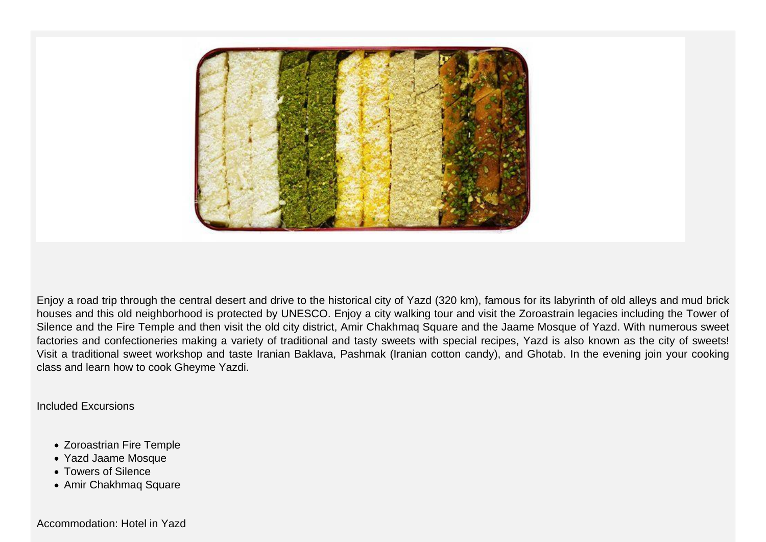

Enjoy a road trip through the central desert and drive to the historical city of Yazd (320 km), famous for its labyrinth of old alleys and mud brick houses and this old neighborhood is protected by UNESCO. Enjoy a city walking tour and visit the Zoroastrain legacies including the Tower of Silence and the Fire Temple and then visit the old city district, Amir Chakhmaq Square and the Jaame Mosque of Yazd. With numerous sweet factories and confectioneries making a variety of traditional and tasty sweets with special recipes, Yazd is also known as the city of sweets! Visit a traditional sweet workshop and taste Iranian Baklava, Pashmak (Iranian cotton candy), and Ghotab. In the evening join your cooking class and learn how to cook Gheyme Yazdi.

Included Excursions

- Zoroastrian Fire Temple
- Yazd Jaame Mosque
- Towers of Silence
- Amir Chakhmaq Square

Accommodation: Hotel in Yazd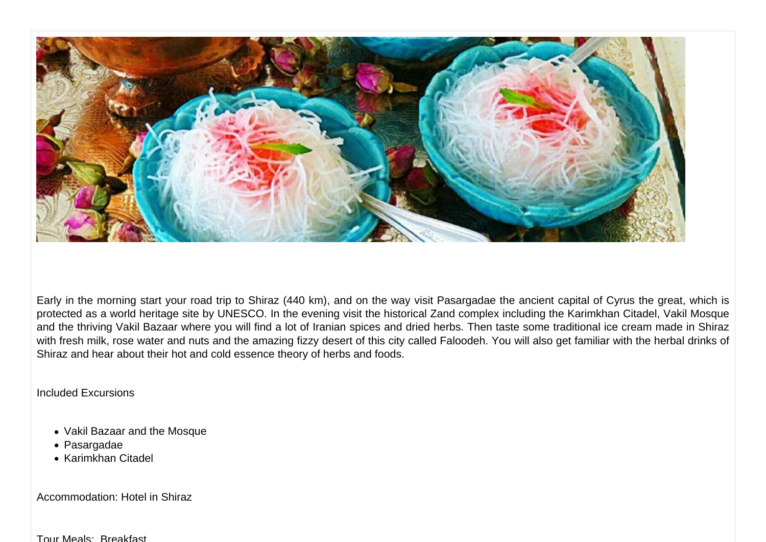

Early in the morning start your road trip to Shiraz (440 km), and on the way visit Pasargadae the ancient capital of Cyrus the great, which is protected as a world heritage site by UNESCO. In the evening visit the historical Zand complex including the Karimkhan Citadel, Vakil Mosque and the thriving Vakil Bazaar where you will find a lot of Iranian spices and dried herbs. Then taste some traditional ice cream made in Shiraz with fresh milk, rose water and nuts and the amazing fizzy desert of this city called Faloodeh. You will also get familiar with the herbal drinks of Shiraz and hear about their hot and cold essence theory of herbs and foods.

Included Excursions

- Vakil Bazaar and the Mosque
- Pasargadae
- Karimkhan Citadel

Accommodation: Hotel in Shiraz

Tour Meals: Breakfast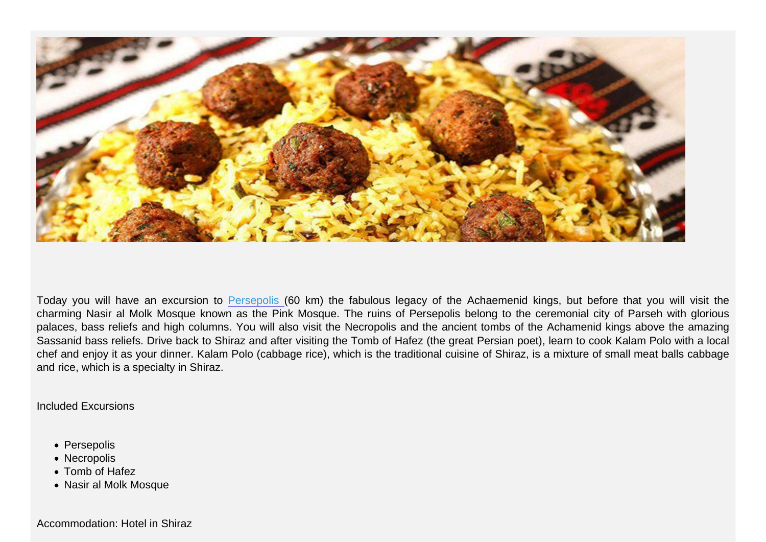Day 9: The Achaemenid Day

Today you will have an excursion to [Persepolis](https://www.packtoiran.com/blogs/detail/102/Persepolis---The-ancient-city-of-Achaemenids) (60 km) the fabulous legacy of the Achaemenid kings, but before that you will visit the charming Nasir al Molk Mosque known as the Pink Mosque. The ruins of Persepolis belong to the ceremonial city of Parseh with glorious palaces, bass reliefs and high columns. You will also visit the Necropolis and the ancient tombs of the Achamenid kings above the amazing Sassanid bass reliefs. Drive back to Shiraz and after visiting the Tomb of Hafez (the great Persian poet), learn to cook Kalam Polo with a local chef and enjoy it as your dinner. Kalam Polo (cabbage rice), which is the traditional cuisine of Shiraz, is a mixture of small meat balls cabbage and rice, which is a specialty in Shiraz.

Included Excursions

- Persepolis
- Necropolis
- Tomb of Hafez
- Nasir al Molk Mosque

Accommodation: Hotel in Shiraz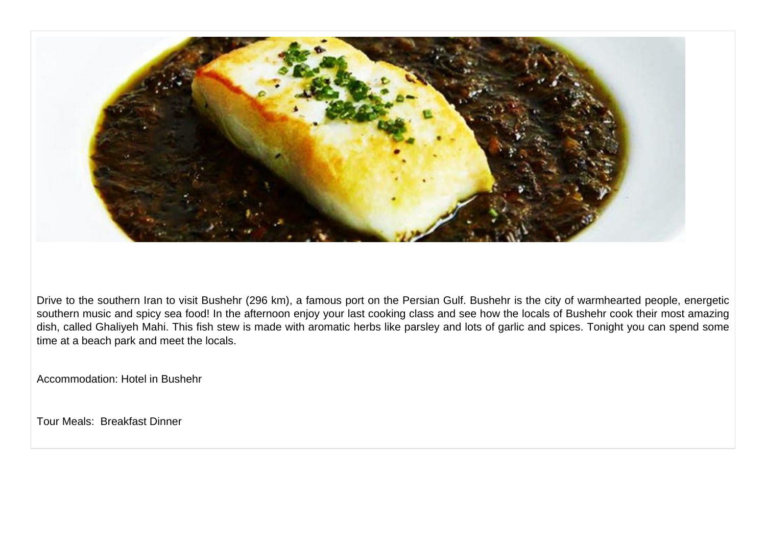

Drive to the southern Iran to visit Bushehr (296 km), a famous port on the Persian Gulf. Bushehr is the city of warmhearted people, energetic southern music and spicy sea food! In the afternoon enjoy your last cooking class and see how the locals of Bushehr cook their most amazing dish, called Ghaliyeh Mahi. This fish stew is made with aromatic herbs like parsley and lots of garlic and spices. Tonight you can spend some time at a beach park and meet the locals.

Accommodation: Hotel in Bushehr

Tour Meals: Breakfast Dinner